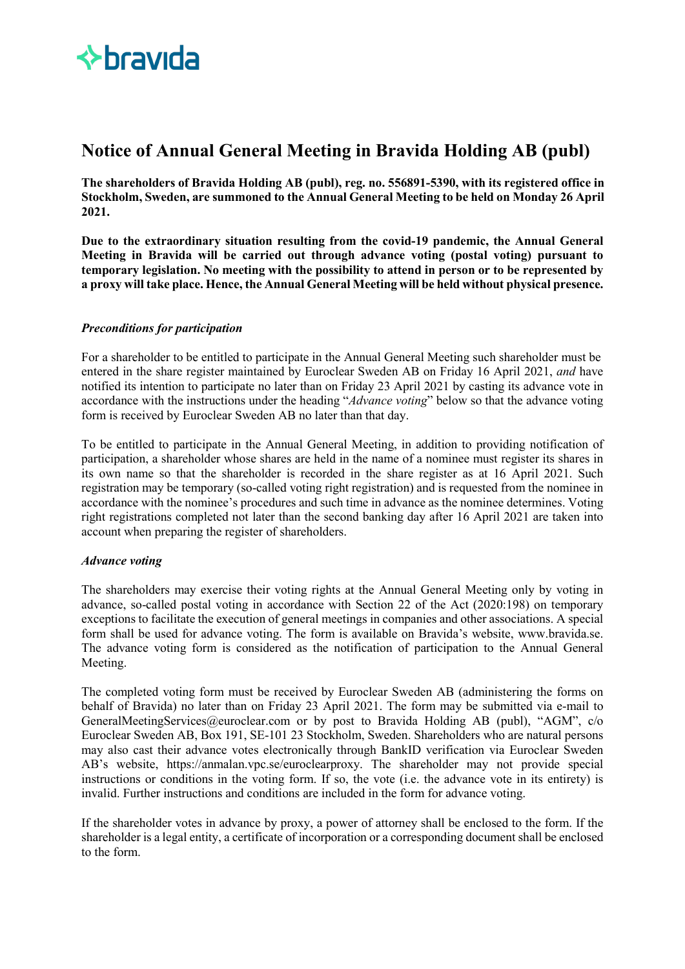

# **Notice of Annual General Meeting in Bravida Holding AB (publ)**

**The shareholders of Bravida Holding AB (publ), reg. no. 556891-5390, with its registered office in Stockholm, Sweden, are summoned to the Annual General Meeting to be held on Monday 26 April 2021.**

**Due to the extraordinary situation resulting from the covid-19 pandemic, the Annual General Meeting in Bravida will be carried out through advance voting (postal voting) pursuant to temporary legislation. No meeting with the possibility to attend in person or to be represented by a proxy will take place. Hence, the Annual General Meeting will be held without physical presence.** 

# *Preconditions for participation*

For a shareholder to be entitled to participate in the Annual General Meeting such shareholder must be entered in the share register maintained by Euroclear Sweden AB on Friday 16 April 2021, *and* have notified its intention to participate no later than on Friday 23 April 2021 by casting its advance vote in accordance with the instructions under the heading "*Advance voting*" below so that the advance voting form is received by Euroclear Sweden AB no later than that day.

To be entitled to participate in the Annual General Meeting, in addition to providing notification of participation, a shareholder whose shares are held in the name of a nominee must register its shares in its own name so that the shareholder is recorded in the share register as at 16 April 2021. Such registration may be temporary (so-called voting right registration) and is requested from the nominee in accordance with the nominee's procedures and such time in advance as the nominee determines. Voting right registrations completed not later than the second banking day after 16 April 2021 are taken into account when preparing the register of shareholders.

# *Advance voting*

The shareholders may exercise their voting rights at the Annual General Meeting only by voting in advance, so-called postal voting in accordance with Section 22 of the Act (2020:198) on temporary exceptions to facilitate the execution of general meetings in companies and other associations. A special form shall be used for advance voting. The form is available on Bravida's website, www.bravida.se. The advance voting form is considered as the notification of participation to the Annual General Meeting.

The completed voting form must be received by Euroclear Sweden AB (administering the forms on behalf of Bravida) no later than on Friday 23 April 2021. The form may be submitted via e-mail to GeneralMeetingServices@euroclear.com or by post to Bravida Holding AB (publ), "AGM", c/o Euroclear Sweden AB, Box 191, SE-101 23 Stockholm, Sweden. Shareholders who are natural persons may also cast their advance votes electronically through BankID verification via Euroclear Sweden AB's website, https://anmalan.vpc.se/euroclearproxy. The shareholder may not provide special instructions or conditions in the voting form. If so, the vote (i.e. the advance vote in its entirety) is invalid. Further instructions and conditions are included in the form for advance voting.

If the shareholder votes in advance by proxy, a power of attorney shall be enclosed to the form. If the shareholder is a legal entity, a certificate of incorporation or a corresponding document shall be enclosed to the form.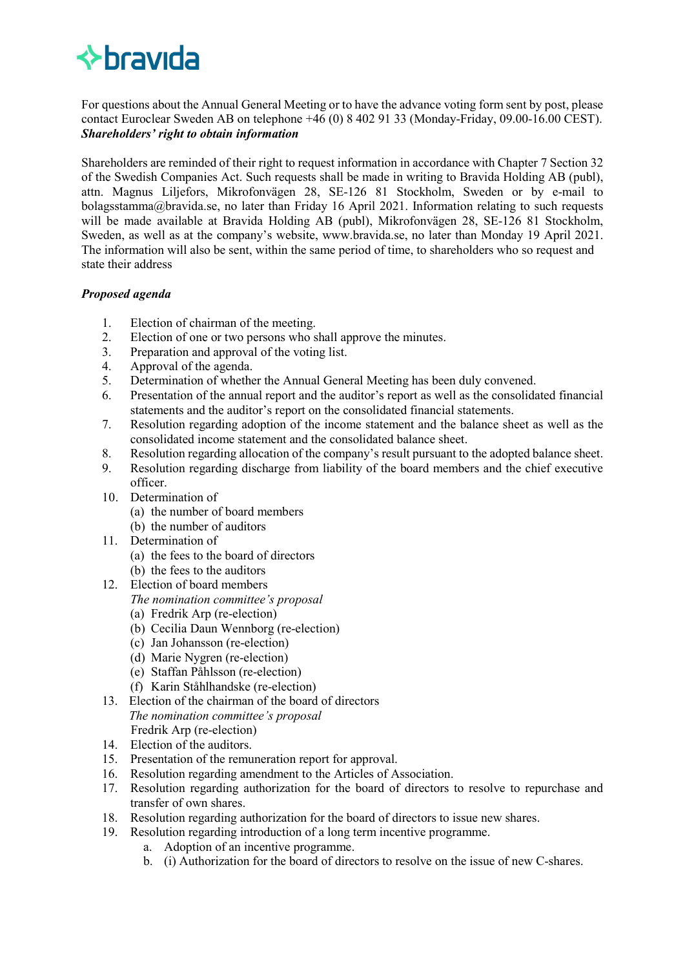

For questions about the Annual General Meeting or to have the advance voting form sent by post, please contact Euroclear Sweden AB on telephone +46 (0) 8 402 91 33 (Monday-Friday, 09.00-16.00 CEST). *Shareholders' right to obtain information*

Shareholders are reminded of their right to request information in accordance with Chapter 7 Section 32 of the Swedish Companies Act. Such requests shall be made in writing to Bravida Holding AB (publ), attn. Magnus Liljefors, Mikrofonvägen 28, SE-126 81 Stockholm, Sweden or by e-mail to bolagsstamma@bravida.se, no later than Friday 16 April 2021. Information relating to such requests will be made available at Bravida Holding AB (publ), Mikrofonvägen 28, SE-126 81 Stockholm, Sweden, as well as at the company's website, www.bravida.se, no later than Monday 19 April 2021. The information will also be sent, within the same period of time, to shareholders who so request and state their address

# *Proposed agenda*

- 1. Election of chairman of the meeting.
- 2. Election of one or two persons who shall approve the minutes.
- 3. Preparation and approval of the voting list.
- 4. Approval of the agenda.
- 5. Determination of whether the Annual General Meeting has been duly convened.
- 6. Presentation of the annual report and the auditor's report as well as the consolidated financial statements and the auditor's report on the consolidated financial statements.
- 7. Resolution regarding adoption of the income statement and the balance sheet as well as the consolidated income statement and the consolidated balance sheet.
- 8. Resolution regarding allocation of the company's result pursuant to the adopted balance sheet.
- 9. Resolution regarding discharge from liability of the board members and the chief executive officer.
- 10. Determination of
	- (a) the number of board members
	- (b) the number of auditors
- 11. Determination of
	- (a) the fees to the board of directors
	- (b) the fees to the auditors
- 12. Election of board members
	- *The nomination committee's proposal*
	- (a) Fredrik Arp (re-election)
	- (b) Cecilia Daun Wennborg (re-election)
	- (c) Jan Johansson (re-election)
	- (d) Marie Nygren (re-election)
	- (e) Staffan Påhlsson (re-election)
	- (f) Karin Ståhlhandske (re-election)
- 13. Election of the chairman of the board of directors  *The nomination committee's proposal* Fredrik Arp (re-election)
- 14. Election of the auditors.
- 15. Presentation of the remuneration report for approval.
- 16. Resolution regarding amendment to the Articles of Association.
- 17. Resolution regarding authorization for the board of directors to resolve to repurchase and transfer of own shares.
- 18. Resolution regarding authorization for the board of directors to issue new shares.
- 19. Resolution regarding introduction of a long term incentive programme.
	- a. Adoption of an incentive programme.
	- b. (i) Authorization for the board of directors to resolve on the issue of new C-shares.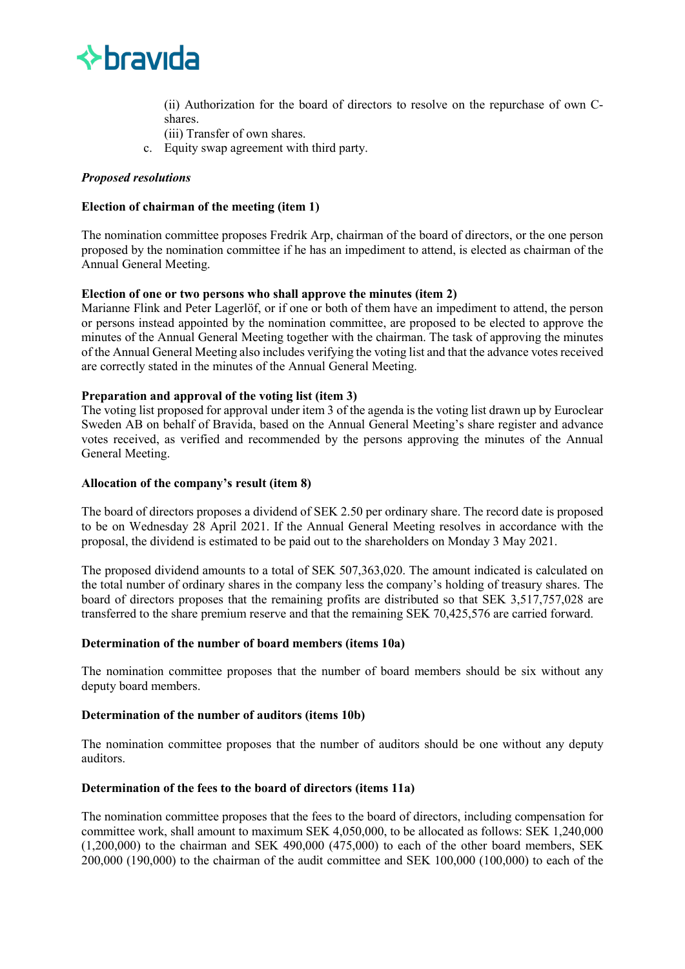

(ii) Authorization for the board of directors to resolve on the repurchase of own Cshares.

(iii) Transfer of own shares.

c. Equity swap agreement with third party.

# *Proposed resolutions*

# **Election of chairman of the meeting (item 1)**

The nomination committee proposes Fredrik Arp, chairman of the board of directors, or the one person proposed by the nomination committee if he has an impediment to attend, is elected as chairman of the Annual General Meeting.

# **Election of one or two persons who shall approve the minutes (item 2)**

Marianne Flink and Peter Lagerlöf, or if one or both of them have an impediment to attend, the person or persons instead appointed by the nomination committee, are proposed to be elected to approve the minutes of the Annual General Meeting together with the chairman. The task of approving the minutes of the Annual General Meeting also includes verifying the voting list and that the advance votes received are correctly stated in the minutes of the Annual General Meeting.

# **Preparation and approval of the voting list (item 3)**

The voting list proposed for approval under item 3 of the agenda is the voting list drawn up by Euroclear Sweden AB on behalf of Bravida, based on the Annual General Meeting's share register and advance votes received, as verified and recommended by the persons approving the minutes of the Annual General Meeting.

# **Allocation of the company's result (item 8)**

The board of directors proposes a dividend of SEK 2.50 per ordinary share. The record date is proposed to be on Wednesday 28 April 2021. If the Annual General Meeting resolves in accordance with the proposal, the dividend is estimated to be paid out to the shareholders on Monday 3 May 2021.

The proposed dividend amounts to a total of SEK 507,363,020. The amount indicated is calculated on the total number of ordinary shares in the company less the company's holding of treasury shares. The board of directors proposes that the remaining profits are distributed so that SEK 3,517,757,028 are transferred to the share premium reserve and that the remaining SEK 70,425,576 are carried forward.

# **Determination of the number of board members (items 10a)**

The nomination committee proposes that the number of board members should be six without any deputy board members.

# **Determination of the number of auditors (items 10b)**

The nomination committee proposes that the number of auditors should be one without any deputy auditors.

# **Determination of the fees to the board of directors (items 11a)**

The nomination committee proposes that the fees to the board of directors, including compensation for committee work, shall amount to maximum SEK 4,050,000, to be allocated as follows: SEK 1,240,000  $(1,200,000)$  to the chairman and SEK 490,000  $(475,000)$  to each of the other board members, SEK 200,000 (190,000) to the chairman of the audit committee and SEK 100,000 (100,000) to each of the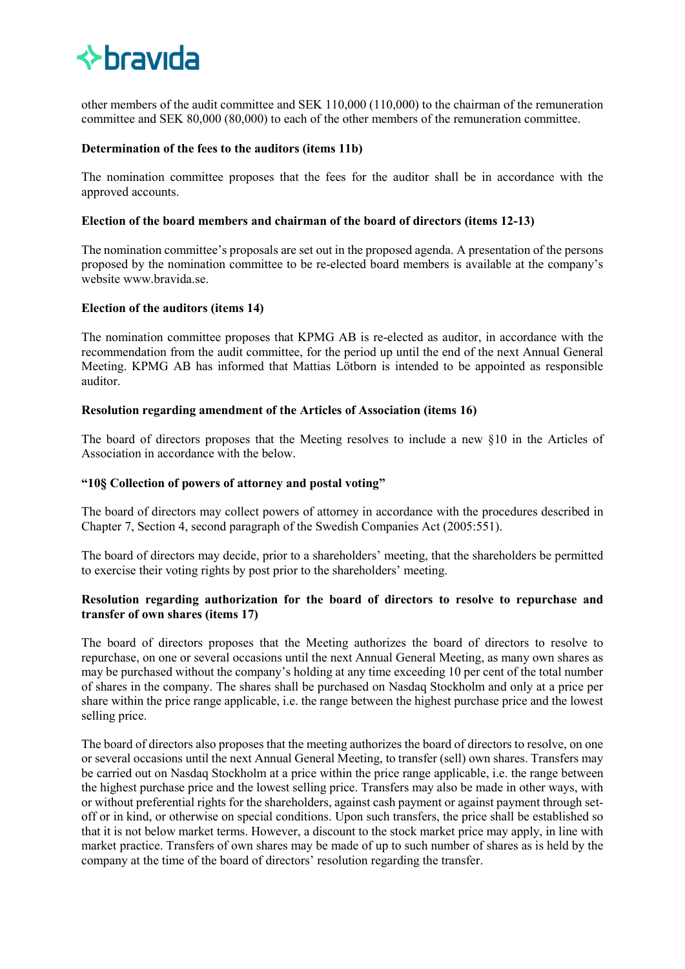

other members of the audit committee and SEK 110,000 (110,000) to the chairman of the remuneration committee and SEK 80,000 (80,000) to each of the other members of the remuneration committee.

#### **Determination of the fees to the auditors (items 11b)**

The nomination committee proposes that the fees for the auditor shall be in accordance with the approved accounts.

#### **Election of the board members and chairman of the board of directors (items 12-13)**

The nomination committee's proposals are set out in the proposed agenda. A presentation of the persons proposed by the nomination committee to be re-elected board members is available at the company's website www.bravida.se.

#### **Election of the auditors (items 14)**

The nomination committee proposes that KPMG AB is re-elected as auditor, in accordance with the recommendation from the audit committee, for the period up until the end of the next Annual General Meeting. KPMG AB has informed that Mattias Lötborn is intended to be appointed as responsible auditor.

# **Resolution regarding amendment of the Articles of Association (items 16)**

The board of directors proposes that the Meeting resolves to include a new §10 in the Articles of Association in accordance with the below.

#### **"10§ Collection of powers of attorney and postal voting"**

The board of directors may collect powers of attorney in accordance with the procedures described in Chapter 7, Section 4, second paragraph of the Swedish Companies Act (2005:551).

The board of directors may decide, prior to a shareholders' meeting, that the shareholders be permitted to exercise their voting rights by post prior to the shareholders' meeting.

# **Resolution regarding authorization for the board of directors to resolve to repurchase and transfer of own shares (items 17)**

The board of directors proposes that the Meeting authorizes the board of directors to resolve to repurchase, on one or several occasions until the next Annual General Meeting, as many own shares as may be purchased without the company's holding at any time exceeding 10 per cent of the total number of shares in the company. The shares shall be purchased on Nasdaq Stockholm and only at a price per share within the price range applicable, i.e. the range between the highest purchase price and the lowest selling price.

The board of directors also proposes that the meeting authorizes the board of directors to resolve, on one or several occasions until the next Annual General Meeting, to transfer (sell) own shares. Transfers may be carried out on Nasdaq Stockholm at a price within the price range applicable, i.e. the range between the highest purchase price and the lowest selling price. Transfers may also be made in other ways, with or without preferential rights for the shareholders, against cash payment or against payment through setoff or in kind, or otherwise on special conditions. Upon such transfers, the price shall be established so that it is not below market terms. However, a discount to the stock market price may apply, in line with market practice. Transfers of own shares may be made of up to such number of shares as is held by the company at the time of the board of directors' resolution regarding the transfer.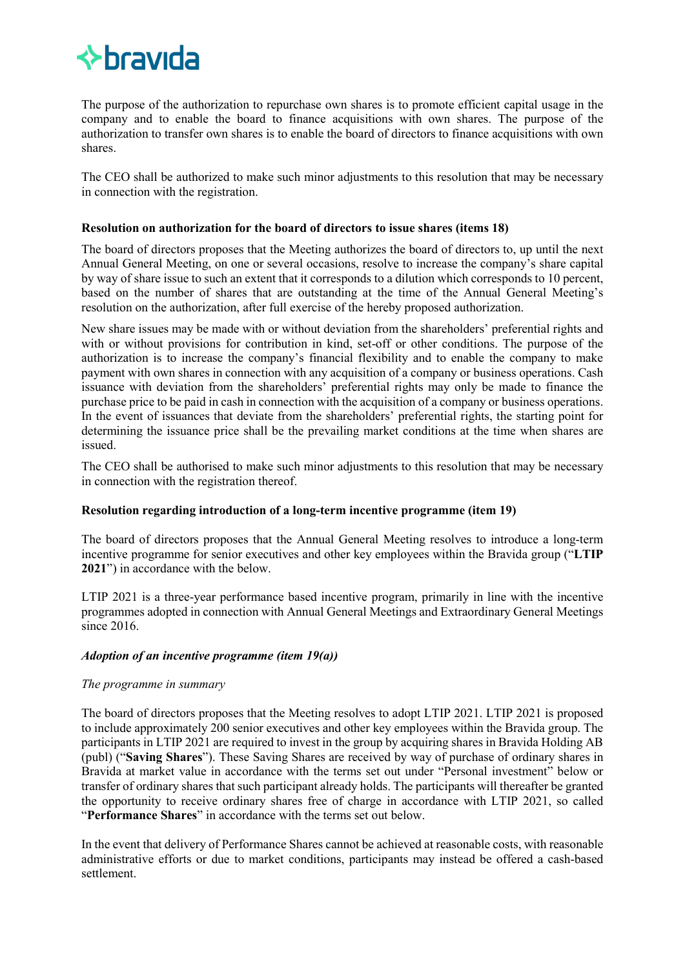

The purpose of the authorization to repurchase own shares is to promote efficient capital usage in the company and to enable the board to finance acquisitions with own shares. The purpose of the authorization to transfer own shares is to enable the board of directors to finance acquisitions with own shares.

The CEO shall be authorized to make such minor adjustments to this resolution that may be necessary in connection with the registration.

# **Resolution on authorization for the board of directors to issue shares (items 18)**

The board of directors proposes that the Meeting authorizes the board of directors to, up until the next Annual General Meeting, on one or several occasions, resolve to increase the company's share capital by way of share issue to such an extent that it corresponds to a dilution which corresponds to 10 percent, based on the number of shares that are outstanding at the time of the Annual General Meeting's resolution on the authorization, after full exercise of the hereby proposed authorization.

New share issues may be made with or without deviation from the shareholders' preferential rights and with or without provisions for contribution in kind, set-off or other conditions. The purpose of the authorization is to increase the company's financial flexibility and to enable the company to make payment with own shares in connection with any acquisition of a company or business operations. Cash issuance with deviation from the shareholders' preferential rights may only be made to finance the purchase price to be paid in cash in connection with the acquisition of a company or business operations. In the event of issuances that deviate from the shareholders' preferential rights, the starting point for determining the issuance price shall be the prevailing market conditions at the time when shares are issued.

The CEO shall be authorised to make such minor adjustments to this resolution that may be necessary in connection with the registration thereof.

# **Resolution regarding introduction of a long-term incentive programme (item 19)**

The board of directors proposes that the Annual General Meeting resolves to introduce a long-term incentive programme for senior executives and other key employees within the Bravida group ("**LTIP 2021**") in accordance with the below.

LTIP 2021 is a three-year performance based incentive program, primarily in line with the incentive programmes adopted in connection with Annual General Meetings and Extraordinary General Meetings since 2016.

# *Adoption of an incentive programme (item 19(a))*

# *The programme in summary*

The board of directors proposes that the Meeting resolves to adopt LTIP 2021. LTIP 2021 is proposed to include approximately 200 senior executives and other key employees within the Bravida group. The participants in LTIP 2021 are required to invest in the group by acquiring shares in Bravida Holding AB (publ) ("**Saving Shares**"). These Saving Shares are received by way of purchase of ordinary shares in Bravida at market value in accordance with the terms set out under "Personal investment" below or transfer of ordinary shares that such participant already holds. The participants will thereafter be granted the opportunity to receive ordinary shares free of charge in accordance with LTIP 2021, so called "**Performance Shares**" in accordance with the terms set out below.

In the event that delivery of Performance Shares cannot be achieved at reasonable costs, with reasonable administrative efforts or due to market conditions, participants may instead be offered a cash-based settlement.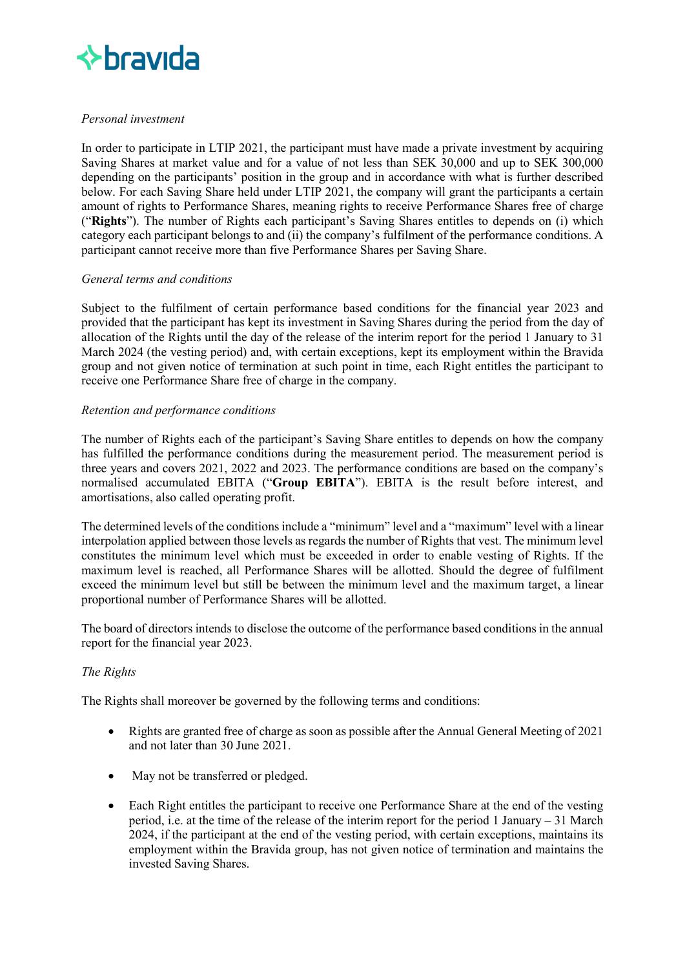

# *Personal investment*

In order to participate in LTIP 2021, the participant must have made a private investment by acquiring Saving Shares at market value and for a value of not less than SEK 30,000 and up to SEK 300,000 depending on the participants' position in the group and in accordance with what is further described below. For each Saving Share held under LTIP 2021, the company will grant the participants a certain amount of rights to Performance Shares, meaning rights to receive Performance Shares free of charge ("**Rights**"). The number of Rights each participant's Saving Shares entitles to depends on (i) which category each participant belongs to and (ii) the company's fulfilment of the performance conditions. A participant cannot receive more than five Performance Shares per Saving Share.

# *General terms and conditions*

Subject to the fulfilment of certain performance based conditions for the financial year 2023 and provided that the participant has kept its investment in Saving Shares during the period from the day of allocation of the Rights until the day of the release of the interim report for the period 1 January to 31 March 2024 (the vesting period) and, with certain exceptions, kept its employment within the Bravida group and not given notice of termination at such point in time, each Right entitles the participant to receive one Performance Share free of charge in the company.

# *Retention and performance conditions*

The number of Rights each of the participant's Saving Share entitles to depends on how the company has fulfilled the performance conditions during the measurement period. The measurement period is three years and covers 2021, 2022 and 2023. The performance conditions are based on the company's normalised accumulated EBITA ("**Group EBITA**"). EBITA is the result before interest, and amortisations, also called operating profit.

The determined levels of the conditions include a "minimum" level and a "maximum" level with a linear interpolation applied between those levels as regards the number of Rights that vest. The minimum level constitutes the minimum level which must be exceeded in order to enable vesting of Rights. If the maximum level is reached, all Performance Shares will be allotted. Should the degree of fulfilment exceed the minimum level but still be between the minimum level and the maximum target, a linear proportional number of Performance Shares will be allotted.

The board of directors intends to disclose the outcome of the performance based conditions in the annual report for the financial year 2023.

# *The Rights*

The Rights shall moreover be governed by the following terms and conditions:

- Rights are granted free of charge as soon as possible after the Annual General Meeting of 2021 and not later than 30 June 2021.
- May not be transferred or pledged.
- Each Right entitles the participant to receive one Performance Share at the end of the vesting period, i.e. at the time of the release of the interim report for the period 1 January – 31 March 2024, if the participant at the end of the vesting period, with certain exceptions, maintains its employment within the Bravida group, has not given notice of termination and maintains the invested Saving Shares.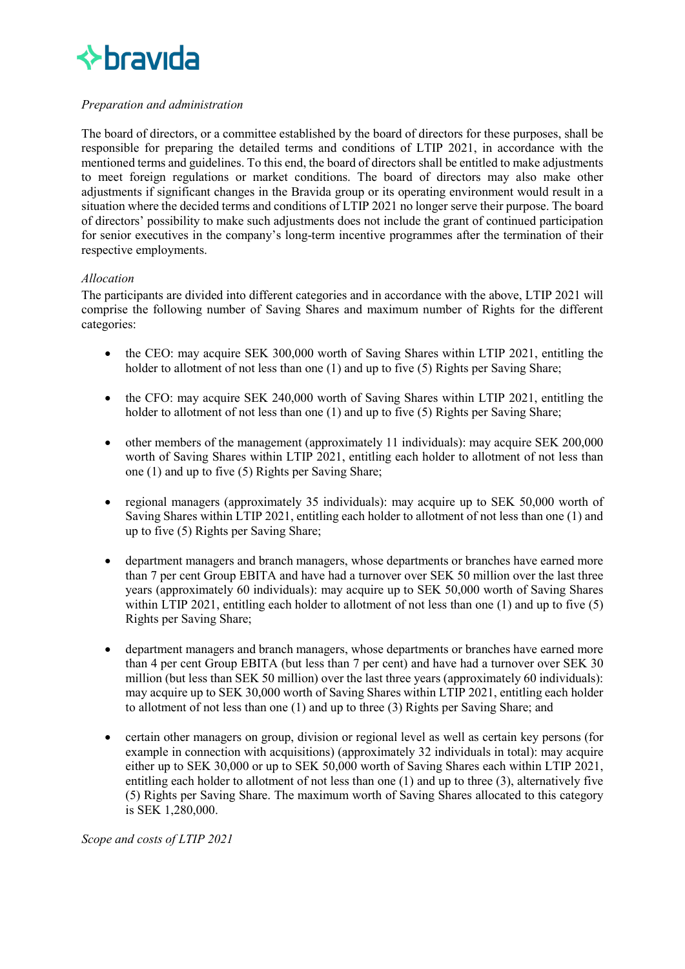# $\leftrightarrow$  bravida

# *Preparation and administration*

The board of directors, or a committee established by the board of directors for these purposes, shall be responsible for preparing the detailed terms and conditions of LTIP 2021, in accordance with the mentioned terms and guidelines. To this end, the board of directors shall be entitled to make adjustments to meet foreign regulations or market conditions. The board of directors may also make other adjustments if significant changes in the Bravida group or its operating environment would result in a situation where the decided terms and conditions of LTIP 2021 no longer serve their purpose. The board of directors' possibility to make such adjustments does not include the grant of continued participation for senior executives in the company's long-term incentive programmes after the termination of their respective employments.

# *Allocation*

The participants are divided into different categories and in accordance with the above, LTIP 2021 will comprise the following number of Saving Shares and maximum number of Rights for the different categories:

- the CEO: may acquire SEK 300,000 worth of Saving Shares within LTIP 2021, entitling the holder to allotment of not less than one (1) and up to five (5) Rights per Saving Share;
- the CFO: may acquire SEK 240,000 worth of Saving Shares within LTIP 2021, entitling the holder to allotment of not less than one (1) and up to five (5) Rights per Saving Share;
- other members of the management (approximately 11 individuals): may acquire SEK 200,000 worth of Saving Shares within LTIP 2021, entitling each holder to allotment of not less than one (1) and up to five (5) Rights per Saving Share;
- regional managers (approximately 35 individuals): may acquire up to SEK 50,000 worth of Saving Shares within LTIP 2021, entitling each holder to allotment of not less than one (1) and up to five (5) Rights per Saving Share;
- department managers and branch managers, whose departments or branches have earned more than 7 per cent Group EBITA and have had a turnover over SEK 50 million over the last three years (approximately 60 individuals): may acquire up to SEK 50,000 worth of Saving Shares within LTIP 2021, entitling each holder to allotment of not less than one (1) and up to five (5) Rights per Saving Share;
- department managers and branch managers, whose departments or branches have earned more than 4 per cent Group EBITA (but less than 7 per cent) and have had a turnover over SEK 30 million (but less than SEK 50 million) over the last three years (approximately 60 individuals): may acquire up to SEK 30,000 worth of Saving Shares within LTIP 2021, entitling each holder to allotment of not less than one (1) and up to three (3) Rights per Saving Share; and
- certain other managers on group, division or regional level as well as certain key persons (for example in connection with acquisitions) (approximately 32 individuals in total): may acquire either up to SEK 30,000 or up to SEK 50,000 worth of Saving Shares each within LTIP 2021, entitling each holder to allotment of not less than one (1) and up to three (3), alternatively five (5) Rights per Saving Share. The maximum worth of Saving Shares allocated to this category is SEK 1,280,000.

*Scope and costs of LTIP 2021*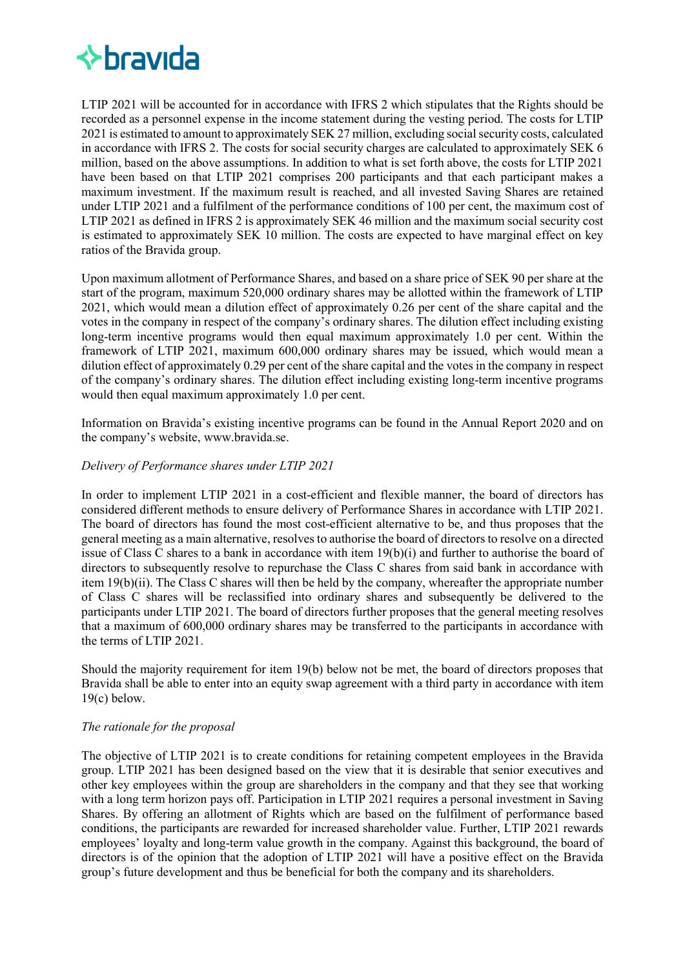

LTIP 2021 will be accounted for in accordance with IFRS 2 which stipulates that the Rights should be recorded as a personnel expense in the income statement during the vesting period. The costs for LTIP 2021 is estimated to amount to approximately SEK 27 million, excluding social security costs, calculated in accordance with IFRS 2. The costs for social security charges are calculated to approximately SEK 6 million, based on the above assumptions. In addition to what is set forth above, the costs for LTIP 2021 have been based on that LTIP 2021 comprises 200 participants and that each participant makes a maximum investment. If the maximum result is reached, and all invested Saving Shares are retained under LTIP 2021 and a fulfilment of the performance conditions of 100 per cent, the maximum cost of LTIP 2021 as defined in IFRS 2 is approximately SEK 46 million and the maximum social security cost is estimated to approximately SEK 10 million. The costs are expected to have marginal effect on key ratios of the Bravida group.

Upon maximum allotment of Performance Shares, and based on a share price of SEK 90 per share at the start of the program, maximum 520,000 ordinary shares may be allotted within the framework of LTIP 2021, which would mean a dilution effect of approximately 0.26 per cent of the share capital and the votes in the company in respect of the company's ordinary shares. The dilution effect including existing long-term incentive programs would then equal maximum approximately 1.0 per cent. Within the framework of LTIP 2021, maximum 600,000 ordinary shares may be issued, which would mean a dilution effect of approximately 0.29 per cent of the share capital and the votes in the company in respect of the company's ordinary shares. The dilution effect including existing long-term incentive programs would then equal maximum approximately 1.0 per cent.

Information on Bravida's existing incentive programs can be found in the Annual Report 2020 and on the company's website, www.bravida.se.

# *Delivery of Performance shares under LTIP 2021*

In order to implement LTIP 2021 in a cost-efficient and flexible manner, the board of directors has considered different methods to ensure delivery of Performance Shares in accordance with LTIP 2021. The board of directors has found the most cost-efficient alternative to be, and thus proposes that the general meeting as a main alternative, resolves to authorise the board of directors to resolve on a directed issue of Class C shares to a bank in accordance with item 19(b)(i) and further to authorise the board of directors to subsequently resolve to repurchase the Class C shares from said bank in accordance with item 19(b)(ii). The Class C shares will then be held by the company, whereafter the appropriate number of Class C shares will be reclassified into ordinary shares and subsequently be delivered to the participants under LTIP 2021. The board of directors further proposes that the general meeting resolves that a maximum of 600,000 ordinary shares may be transferred to the participants in accordance with the terms of LTIP 2021.

Should the majority requirement for item 19(b) below not be met, the board of directors proposes that Bravida shall be able to enter into an equity swap agreement with a third party in accordance with item  $19(c)$  below.

# *The rationale for the proposal*

The objective of LTIP 2021 is to create conditions for retaining competent employees in the Bravida group. LTIP 2021 has been designed based on the view that it is desirable that senior executives and other key employees within the group are shareholders in the company and that they see that working with a long term horizon pays off. Participation in LTIP 2021 requires a personal investment in Saving Shares. By offering an allotment of Rights which are based on the fulfilment of performance based conditions, the participants are rewarded for increased shareholder value. Further, LTIP 2021 rewards employees' loyalty and long-term value growth in the company. Against this background, the board of directors is of the opinion that the adoption of LTIP 2021 will have a positive effect on the Bravida group's future development and thus be beneficial for both the company and its shareholders.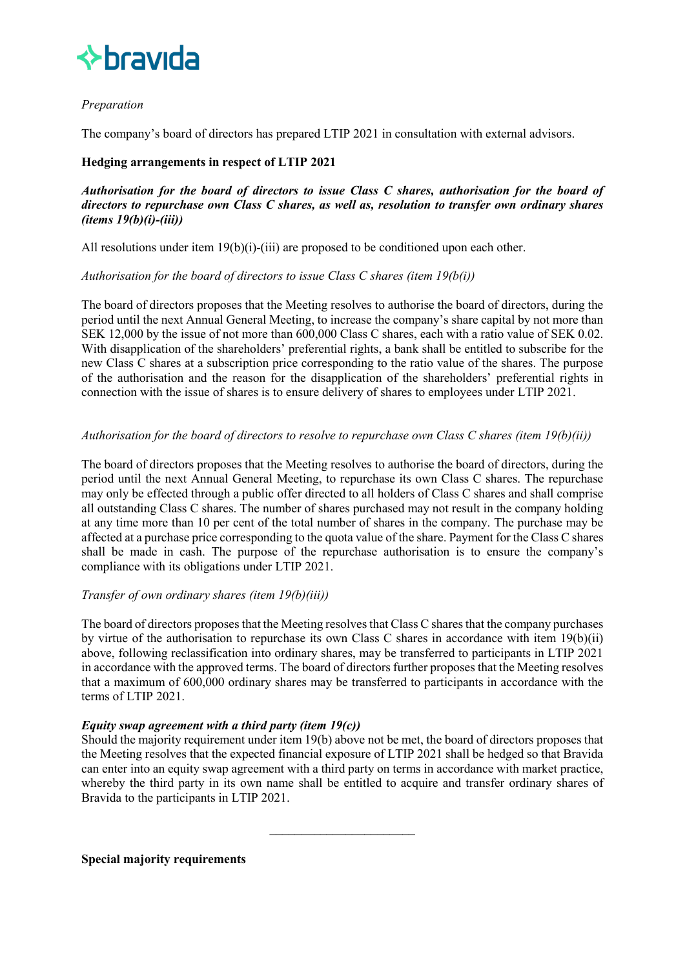

# *Preparation*

The company's board of directors has prepared LTIP 2021 in consultation with external advisors.

# **Hedging arrangements in respect of LTIP 2021**

# *Authorisation for the board of directors to issue Class C shares, authorisation for the board of directors to repurchase own Class C shares, as well as, resolution to transfer own ordinary shares (items 19(b)(i)-(iii))*

All resolutions under item 19(b)(i)-(iii) are proposed to be conditioned upon each other.

# *Authorisation for the board of directors to issue Class C shares (item 19(b(i))*

The board of directors proposes that the Meeting resolves to authorise the board of directors, during the period until the next Annual General Meeting, to increase the company's share capital by not more than SEK 12,000 by the issue of not more than 600,000 Class C shares, each with a ratio value of SEK 0.02. With disapplication of the shareholders' preferential rights, a bank shall be entitled to subscribe for the new Class C shares at a subscription price corresponding to the ratio value of the shares. The purpose of the authorisation and the reason for the disapplication of the shareholders' preferential rights in connection with the issue of shares is to ensure delivery of shares to employees under LTIP 2021.

# *Authorisation for the board of directors to resolve to repurchase own Class C shares (item 19(b)(ii))*

The board of directors proposes that the Meeting resolves to authorise the board of directors, during the period until the next Annual General Meeting, to repurchase its own Class C shares. The repurchase may only be effected through a public offer directed to all holders of Class C shares and shall comprise all outstanding Class C shares. The number of shares purchased may not result in the company holding at any time more than 10 per cent of the total number of shares in the company. The purchase may be affected at a purchase price corresponding to the quota value of the share. Payment for the Class C shares shall be made in cash. The purpose of the repurchase authorisation is to ensure the company's compliance with its obligations under LTIP 2021.

# *Transfer of own ordinary shares (item 19(b)(iii))*

The board of directors proposes that the Meeting resolves that Class C shares that the company purchases by virtue of the authorisation to repurchase its own Class C shares in accordance with item 19(b)(ii) above, following reclassification into ordinary shares, may be transferred to participants in LTIP 2021 in accordance with the approved terms. The board of directors further proposes that the Meeting resolves that a maximum of 600,000 ordinary shares may be transferred to participants in accordance with the terms of LTIP 2021.

# *Equity swap agreement with a third party (item 19(c))*

Should the majority requirement under item 19(b) above not be met, the board of directors proposes that the Meeting resolves that the expected financial exposure of LTIP 2021 shall be hedged so that Bravida can enter into an equity swap agreement with a third party on terms in accordance with market practice, whereby the third party in its own name shall be entitled to acquire and transfer ordinary shares of Bravida to the participants in LTIP 2021.

 $\overline{\phantom{a}}$  , where  $\overline{\phantom{a}}$ 

**Special majority requirements**